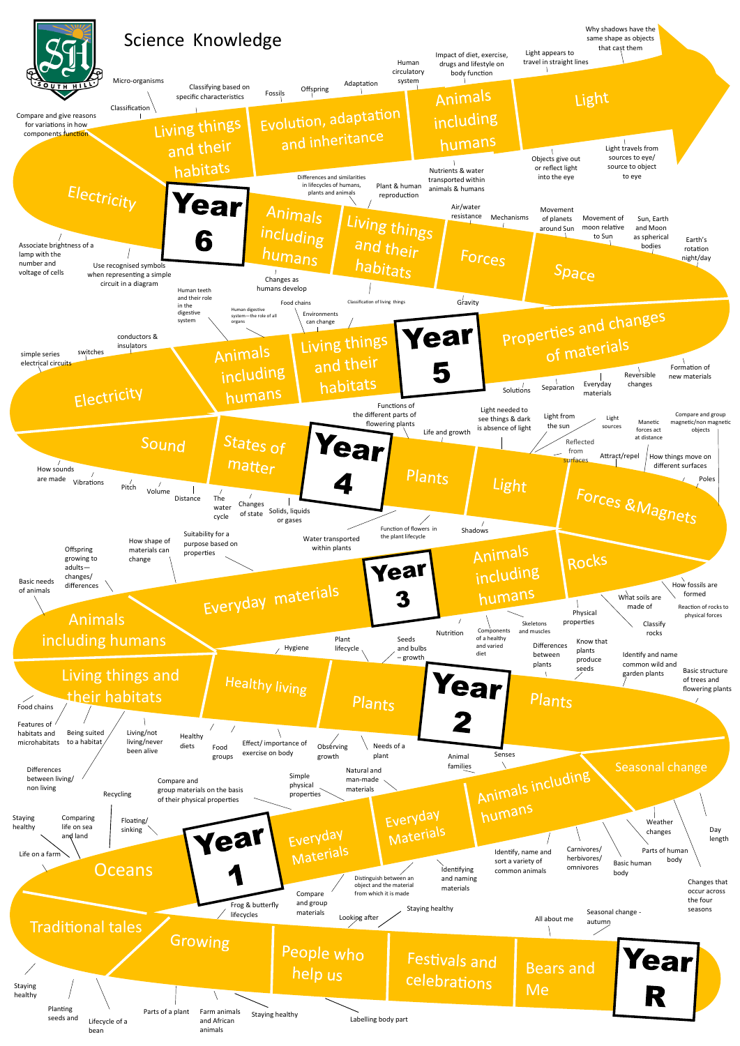